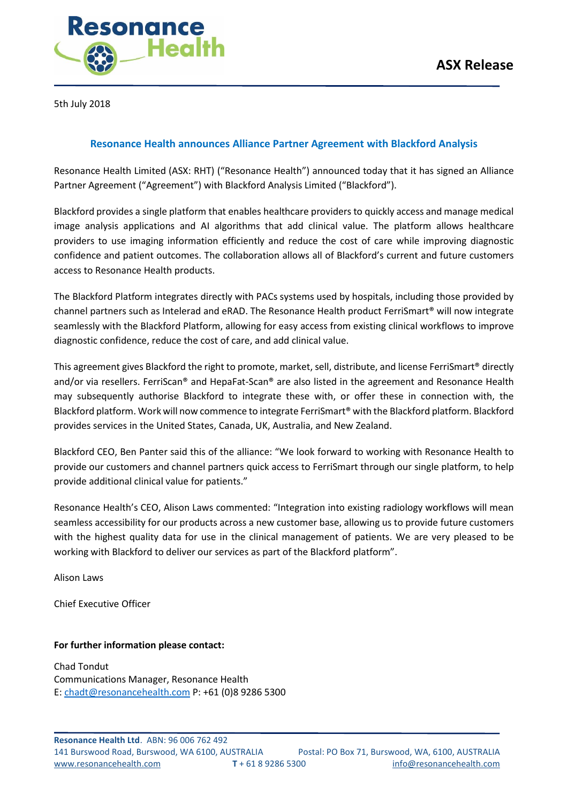

5th July 2018

# **Resonance Health announces Alliance Partner Agreement with Blackford Analysis**

Resonance Health Limited (ASX: RHT) ("Resonance Health") announced today that it has signed an Alliance Partner Agreement ("Agreement") with Blackford Analysis Limited ("Blackford").

Blackford provides a single platform that enables healthcare providers to quickly access and manage medical image analysis applications and AI algorithms that add clinical value. The platform allows healthcare providers to use imaging information efficiently and reduce the cost of care while improving diagnostic confidence and patient outcomes. The collaboration allows all of Blackford's current and future customers access to Resonance Health products.

The Blackford Platform integrates directly with PACs systems used by hospitals, including those provided by channel partners such as Intelerad and eRAD. The Resonance Health product FerriSmart® will now integrate seamlessly with the Blackford Platform, allowing for easy access from existing clinical workflows to improve diagnostic confidence, reduce the cost of care, and add clinical value.

This agreement gives Blackford the right to promote, market, sell, distribute, and license FerriSmart® directly and/or via resellers. FerriScan® and HepaFat-Scan® are also listed in the agreement and Resonance Health may subsequently authorise Blackford to integrate these with, or offer these in connection with, the Blackford platform. Work will now commence to integrate FerriSmart® with the Blackford platform. Blackford provides services in the United States, Canada, UK, Australia, and New Zealand.

Blackford CEO, Ben Panter said this of the alliance: "We look forward to working with Resonance Health to provide our customers and channel partners quick access to FerriSmart through our single platform, to help provide additional clinical value for patients."

Resonance Health's CEO, Alison Laws commented: "Integration into existing radiology workflows will mean seamless accessibility for our products across a new customer base, allowing us to provide future customers with the highest quality data for use in the clinical management of patients. We are very pleased to be working with Blackford to deliver our services as part of the Blackford platform".

Alison Laws

Chief Executive Officer

## **For further information please contact:**

Chad Tondut Communications Manager, Resonance Health E: [chadt@resonancehealth.com](mailto:chadt@resonancehealth.com) P: +61 (0)8 9286 5300